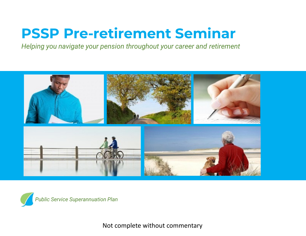# **PSSP Pre-retirement Seminar**

*Helping you navigate your pension throughout your career and retirement*





Not complete without commentary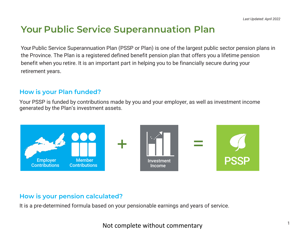## **Your Public Service Superannuation Plan**

Your Public Service Superannuation Plan (PSSP or Plan) is one of the largest public sector pension plans in the Province. The Plan is a registered defined benefit pension plan that offers you a lifetime pension benefit when you retire. It is an important part in helping you to be financially secure during your retirement years.

#### **How is your Plan funded?**

Your PSSP is funded by contributions made by you and your employer, as well as investment income generated by the Plan's investment assets.



#### **How is your pension calculated?**

It is a pre-determined formula based on your pensionable earnings and years of service.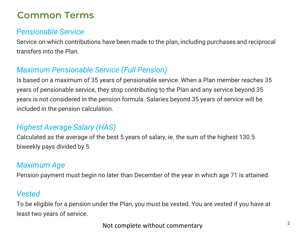## **Common Terms**

#### *Pensionable Service*

Service on which contributions have been made to the plan, including purchases and reciprocal transfers into the Plan.

#### *Maximum Pensionable Service (Full Pension)*

Is based on a maximum of 35 years of pensionable service. When a Plan member reaches 35 years of pensionable service, they stop contributing to the Plan and any service beyond 35 years is not considered in the pension formula. Salaries beyond 35 years of service will be included in the pension calculation.

#### *Highest Average Salary (HAS)*

Calculated as the average of the best 5 years of salary, ie. the sum of the highest 130.5 biweekly pays divided by 5.

#### *Maximum Age*

Pension payment must begin no later than December of the year in which age 71 is attained.

#### *Vested*

To be eligible for a pension under the Plan, you must be vested. You are vested if you have at least two years of service.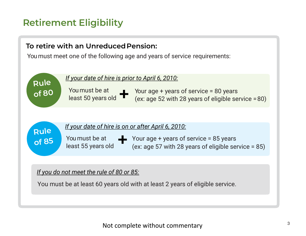## **Retirement Eligibility**

#### **To retire with an UnreducedPension:**

You must meet one of the following age and years of service requirements:

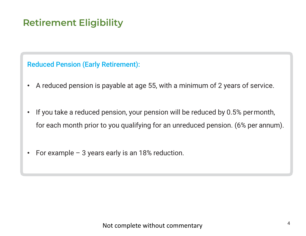# **Retirement Eligibility**

#### Reduced Pension (Early Retirement):

- A reduced pension is payable at age 55, with a minimum of 2 years of service.
- If you take a reduced pension, your pension will be reduced by 0.5% permonth, for each month prior to you qualifying for an unreduced pension. (6% per annum).
- For example 3 years early is an 18% reduction.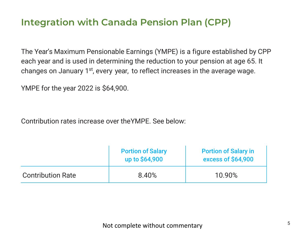## **Integration with Canada Pension Plan (CPP)**

The Year's Maximum Pensionable Earnings (YMPE) is a figure established by CPP each year and is used in determining the reduction to your pension at age 65. It changes on January 1<sup>st</sup>, every year, to reflect increases in the average wage.

YMPE for the year 2022 is \$64,900.

Contribution rates increase over theYMPE. See below:

|                          | <b>Portion of Salary</b><br>up to \$64,900 | <b>Portion of Salary in</b><br><b>excess of \$64,900</b> |
|--------------------------|--------------------------------------------|----------------------------------------------------------|
| <b>Contribution Rate</b> | 8.40%                                      | 10.90%                                                   |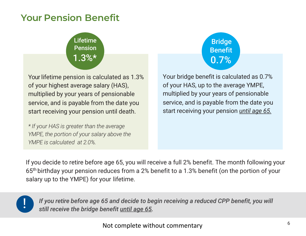## **Your Pension Benefit**

# Lifetime **Pension** 1.3%\*

Your lifetime pension is calculated as 1.3% of your highest average salary (HAS), multiplied by your years of pensionable service, and is payable from the date you start receiving your pension until death.

*\* If your HAS is greater than the average YMPE, the portion of your salary above the YMPE is calculated at 2.0%.*

Your bridge benefit is calculated as 0.7% of your HAS, up to the average YMPE, multiplied by your years of pensionable service, and is payable from the date you start receiving your pension *until age 65.* 0.7%

Bridge

Benefit

If you decide to retire before age 65, you will receive a full 2% benefit. The month following your 65th birthday your pension reduces from a 2% benefit to a 1.3% benefit (on the portion of your salary up to the YMPE) for your lifetime.



*If you retire before age 65 and decide to begin receiving a reduced CPP benefit, you will still receive the bridge benefit until age 65.*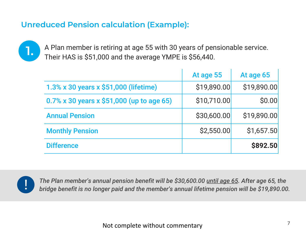## **Unreduced Pension calculation (Example):**

**1.** A Plan member is retiring at age 55 with 30 years of pensionable service. Their HAS is \$51,000 and the average YMPE is \$56,440.

|                                           | At age 55   | At age 65   |
|-------------------------------------------|-------------|-------------|
| 1.3% x 30 years x \$51,000 (lifetime)     | \$19,890.00 | \$19,890.00 |
| 0.7% x 30 years x \$51,000 (up to age 65) | \$10,710.00 | \$0.00      |
| <b>Annual Pension</b>                     | \$30,600.00 | \$19,890.00 |
| <b>Monthly Pension</b>                    | \$2,550.00  | \$1,657.50  |
| <b>Difference</b>                         |             | \$892.50    |



*The Plan member's annual pension benefit will be \$30,600.00 until age 65. After age 65, the* ! *bridge benefit is no longer paid and the member's annual lifetime pension will be \$19,890.00.*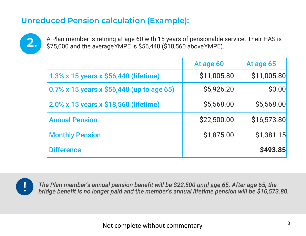## **Unreduced Pension calculation (Example):**



**2.** A Plan member is retiring at age 60 with 15 years of pensionable service. Their HAS is <br>2. S75,000 and the average YMPF is \$56,440 (\$18,560 above YMPF) \$75,000 and the averageYMPE is \$56,440 (\$18,560 aboveYMPE).

|                                           | At age 60   | At age 65   |
|-------------------------------------------|-------------|-------------|
| 1.3% x 15 years x \$56,440 (lifetime)     | \$11,005.80 | \$11,005.80 |
| 0.7% x 15 years x \$56,440 (up to age 65) | \$5,926.20  | \$0.00      |
| 2.0% x 15 years x \$18,560 (lifetime)     | \$5,568.00  | \$5,568.00  |
| <b>Annual Pension</b>                     | \$22,500.00 | \$16,573.80 |
| <b>Monthly Pension</b>                    | \$1,875.00  | \$1,381.15  |
| <b>Difference</b>                         |             | \$493.85    |



*The Plan member's annual pension benefit will be \$22,500 until age 65. After age 65, the bridge benefit is no longer paid and the member's annual lifetime pension will be \$16,573.80.*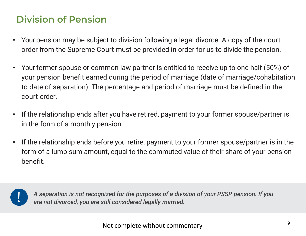# **Division of Pension**

- Your pension may be subject to division following a legal divorce. A copy of the court order from the Supreme Court must be provided in order for us to divide the pension.
- Your former spouse or common law partner is entitled to receive up to one half (50%) of your pension benefit earned during the period of marriage (date of marriage/cohabitation to date of separation). The percentage and period of marriage must be defined in the court order.
- If the relationship ends after you have retired, payment to your former spouse/partner is in the form of a monthly pension.
- If the relationship ends before you retire, payment to your former spouse/partner is in the form of a lump sum amount, equal to the commuted value of their share of your pension benefit.



*A separation is not recognized for the purposes of a division of your PSSP pension. If you are not divorced, you are still considered legally married.*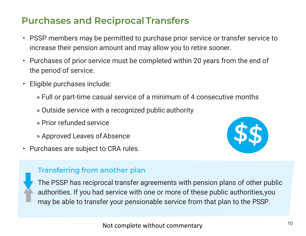## **Purchases and Reciprocal Transfers**

- PSSP members may be permitted to purchase prior service or transfer service to increase their pension amount and may allow you to retire sooner.
- Purchases of prior service must be completed within 20 years from the end of the period of service.
- Eligible purchases include:
	- » Full or part-time casual service of a minimum of 4 consecutive months
	- » Outside service with a recognized public authority
	- » Prior refunded service
	- » Approved Leaves of Absence
- Purchases are subject to CRA rules.



#### Transferring from another plan



The PSSP has reciprocal transfer agreements with pension plans of other public authorities. If you had service with one or more of these public authorities,you may be able to transfer your pensionable service from that plan to the PSSP.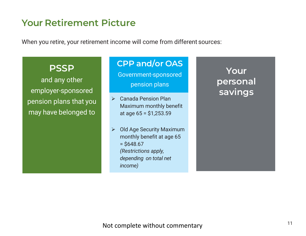## **Your Retirement Picture**

When you retire, your retirement income will come from different sources:

#### **PSSP**

and any other employer-sponsored pension plans that you may have belonged to

#### **CPP and/or OAS**

Government-sponsored pension plans

- Maximum monthly benefit at age 65 = \$1,253.59
- $\triangleright$  Old Age Security Maximum monthly benefit at age 65  $= $648.67$ *(Restrictions apply, depending on total net income)*

**Your personal savings**<br> *►* Canada Pension Plan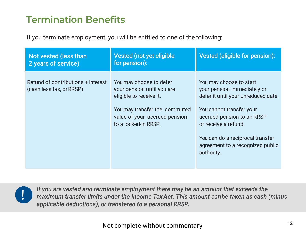# **Termination Benefits**

If you terminate employment, you will be entitled to one of the following:

| Not vested (less than<br>2 years of service)                   | Vested (not yet eligible<br>for pension):                                                                                                                                  | Vested (eligible for pension):                                                                                                                                                                                                                                        |
|----------------------------------------------------------------|----------------------------------------------------------------------------------------------------------------------------------------------------------------------------|-----------------------------------------------------------------------------------------------------------------------------------------------------------------------------------------------------------------------------------------------------------------------|
| Refund of contributions + interest<br>(cash less tax, or RRSP) | You may choose to defer<br>your pension until you are<br>eligible to receive it.<br>You may transfer the commuted<br>value of your accrued pension<br>to a locked-in RRSP. | You may choose to start<br>your pension immediately or<br>defer it until your unreduced date.<br>You cannot transfer your<br>accrued pension to an RRSP<br>or receive a refund.<br>You can do a reciprocal transfer<br>agreement to a recognized public<br>authority. |



*If you are vested and terminate employment there may be an amount that exceeds the maximum transfer limits under the Income Tax Act. This amount canbe taken as cash (minus applicable deductions), or transfered to a personal RRSP.*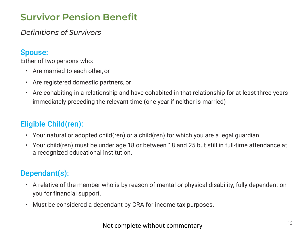# **Survivor Pension Benefit**

*Definitions of Survivors*

#### Spouse:

Either of two persons who:

- Are married to each other,or
- Are registered domestic partners, or
- Are cohabiting in a relationship and have cohabited in that relationship for at least three years immediately preceding the relevant time (one year if neither is married)

## Eligible Child(ren):

- Your natural or adopted child(ren) or a child(ren) for which you are a legal guardian.
- Your child(ren) must be under age 18 or between 18 and 25 but still in full-time attendance at a recognized educational institution.

## Dependant(s):

- A relative of the member who is by reason of mental or physical disability, fully dependent on you for financial support.
- Must be considered a dependant by CRA for income tax purposes.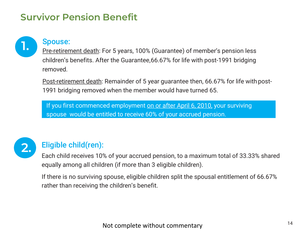## **Survivor Pension Benefit**



Pre-retirement death: For 5 years, 100% (Guarantee) of member's pension less children's benefits. After the Guarantee,66.67% for life with post-1991 bridging removed.

Post-retirement death: Remainder of 5 year guarantee then, 66.67% for life with post-1991 bridging removed when the member would have turned 65.

If you first commenced employment on or after April 6, 2010, your surviving spouse would be entitled to receive 60% of your accrued pension.



## Eligible child(ren):

Each child receives 10% of your accrued pension, to a maximum total of 33.33% shared equally among all children (if more than 3 eligible children).

If there is no surviving spouse, eligible children split the spousal entitlement of 66.67% rather than receiving the children's benefit.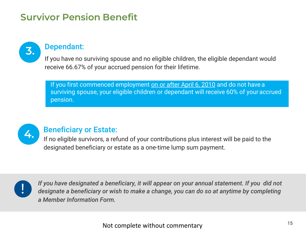# **Survivor Pension Benefit**



# **3.** Dependant:

If you have no surviving spouse and no eligible children, the eligible dependant would receive 66.67% of your accrued pension for their lifetime.

If you first commenced employment on or after April 6, 2010 and do not have a surviving spouse, your eligible children or dependant will receive 60% of your accrued pension.



# **4.** Beneficiary or Estate:

If no eligible survivors, a refund of your contributions plus interest will be paid to the designated beneficiary or estate as a one-time lump sum payment.



*If you have designated a beneficiary, it will appear on your annual statement. If you did not designate a beneficiary or wish to make a change, you can do so at anytime by completing a Member Information Form.*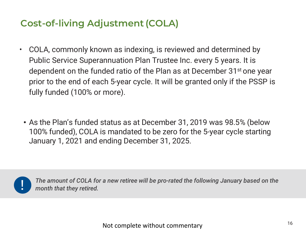# **Cost-of-living Adjustment (COLA)**

- COLA, commonly known as indexing, is reviewed and determined by Public Service Superannuation Plan Trustee Inc. every 5 years. It is dependent on the funded ratio of the Plan as at December 31<sup>st</sup> one year prior to the end of each 5-year cycle. It will be granted only if the PSSP is fully funded (100% or more).
	- As the Plan's funded status as at December 31, 2019 was 98.5% (below 100% funded), COLA is mandated to be zero for the 5-year cycle starting January 1, 2021 and ending December 31, 2025.



*The amount of COLA for a new retiree will be pro-rated the following January based on the month that they retired.*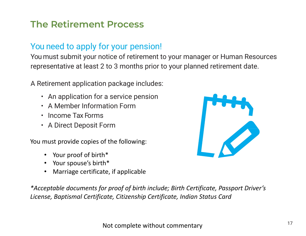# **The Retirement Process**

## You need to apply for your pension!

You must submit your notice of retirement to your manager or Human Resources representative at least 2 to 3 months prior to your planned retirement date.

A Retirement application package includes:

- An application for a service pension
- A Member Information Form
- Income Tax Forms
- A Direct Deposit Form

You must provide copies of the following:

- Your proof of birth\*
- Your spouse's birth\*
- Marriage certificate, if applicable

*\*Acceptable documents for proof of birth include; Birth Certificate, Passport Driver's License, Baptismal Certificate, Citizenship Certificate, Indian Status Card*

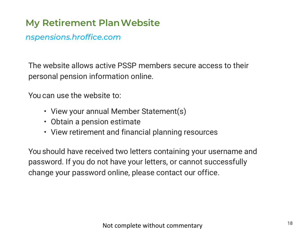# **My Retirement PlanWebsite**

#### *nspensions.hroffice.com*

The website allows active PSSP members secure access to their personal pension information online.

You can use the website to:

- View your annual Member Statement(s)
- Obtain a pension estimate
- View retirement and financial planning resources

You should have received two letters containing your username and password. If you do not have your letters, or cannot successfully change your password online, please contact our office.